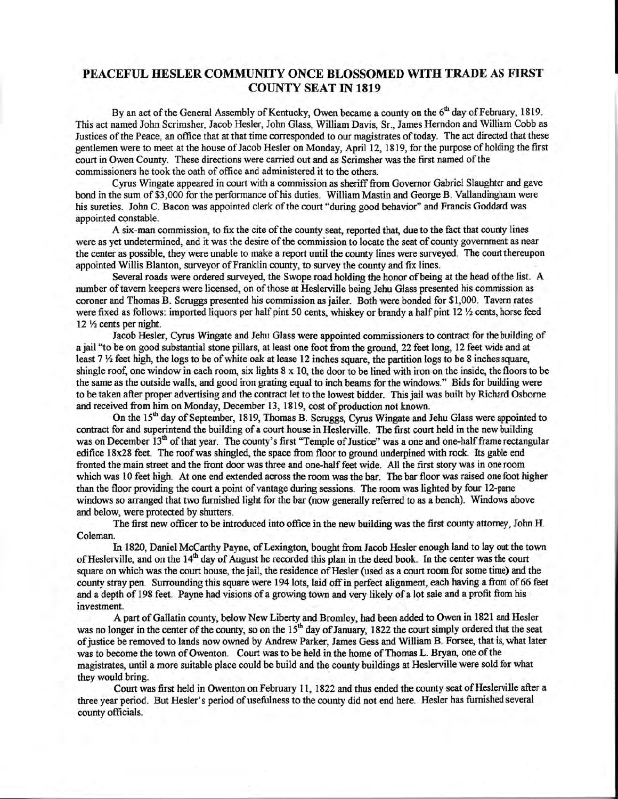## PEACEFUL HESLER COMMUNTTY ONCE BLOSSOMED WTTH TRADE AS FIRST **COUNTY SEAT IN 1819**

By an act of the General Assembly of Kentucky, Owen became a county on the 6<sup>th</sup> day of February, 1819. This act named John Scrimsher, Jacob Hesler, John Glass, William Davis, Sr., James Herndon and William Cobb as Justices of the Peace, an office that at that time corresponded to our magistrates of today. The act directed that these gentlemen were to meet at the house of Jacob Hesler on Monday, April 12, 1819, for the purpose of holding the first court in Owen County. These directions were carried out and as Scrimsher was the first named of the commissioners he took the oath of ofiice and administered it to the others.

Cyrus Wingate appeared in court with a commission as sheriff from Governor Gabriel Slaughter and gave bond in the sum of \$3,000 for the performance of his duties. William Mastin and George B. Vallandingham were his sureties. John C. Bacon was appointed clerk of the court "during good behavior" and Francis Goddard was appointed constable.

A six-man commissioq to fix the cite of the county seat, reported that, due to the fact that county lines were as yet undetermined, and it was the desire of the commission to locate the seat of county government as near the center as possible, they were unable to make a report until the county lines were surveyed. The court thereupon appointed Willis Blanton, surveyor of Franklin county, to survey the county and fix lines.

Several roads were ordered surveyed, the Swope road holding the honor of being at the head of the list. A number of tavern keepers were licensed, on of those at Heslerville being Jehu Glass presented his commission as coroner and Thomas B. Scruggs presented his commission as jailer. Both were bonded for \$1,000. Tavern rates were fixed as follows: imported liquors per half pint 50 cents, whiskey or brandy a half pint  $12 \frac{1}{2}$  cents, horse feed 12 1/2 cents per night.

Jacob Hesler, Cynrs Wingate and Jehu Glass were appointed commissioners to contract for the building of a jail "to be on good substantial stone pillars, at least one foot from the ground, 22 feetlong, 12 feet wide and at least  $7\frac{1}{2}$  feet high, the logs to be of white oak at lease 12 inches square, the partition logs to be 8 inches square, shingle roof, one window in each room, six lights  $8 \times 10$ , the door to be lined with iron on the inside, the floors to be the same as the outside walls, and good iron grating equal to inch beams for the windows." Bids for building were to be taken after proper advertising and the contract let to the lowest bidder. This jail was built by Richard Osborne and received from him on Monday, December 13, 1819, cost of production not known.

On the 15<sup>th</sup> day of September, 1819, Thomas B. Scruggs, Cyrus Wingate and Jehu Glass were appointed to contract for and superintend the building of a court house in Heslerville. The first court held in the new building was on December 13<sup>th</sup> of that year. The county's first "Temple of Justice" was a one and one-half frame rectangular edifice 18x28 feet. The roof was shingled, the space from floor to ground underpined with rock. Its gable end fronted the main street and the front door was three and one-half feet wide. All the first story was in one room which was 10 feet high. At one end extended across the room was the bar. The bar floor was raised one foot higher than the floor providing the court a point ofvantage during sessions. The room was lighted by four l2-pane windows so arranged that two furnished light for the bar (now generally referred to as a bench). Windows above and below, were protected by shutters.

The first new officer to be introduced into office in the new building was the first county attorney, John H. Coleman.

In 1820, Daniel McCarthy Payne, of Lexington, bought from Jacob Hesler enough land to lay out the town of Heslerville, and on the 14<sup>th</sup> day of August he recorded this plan in the deed book. In the center was the court square on which was the court house, the jail, the residence of Hesler (used as a court room for some time) and the county stray pen. Surrounding this square were 194 lots, laid off in perfect alignment, each having a front of 66 feet and a depth of 198 feet. Payne had visions of a growing town and very likely of a lot sale and a profit from his investment.

A part of Gallatin county, below New Liberty and Bromley, had been added to Owen in 1821 and Hesler was no longer in the center of the county, so on the 15<sup>th</sup> day of January, 1822 the court simply ordered that the seat ofjustice be removed to lands now owned by Andrew Parker, James Gess and William B. Forsee, that is, what later was to become the town of Owenton. Court was to be held in the home of Thomas L. Bryan, one of the magistrates, until a more suitable place could be build and the county buildings at Heslerville were sold for what they would bring.

Court was first held in Owenton on February 11, 1822 and thus ended the county seat of Heslerville after a three year period. But Hesler's period of usefulness to the county did not end here. Hesler has furnished several county officials.